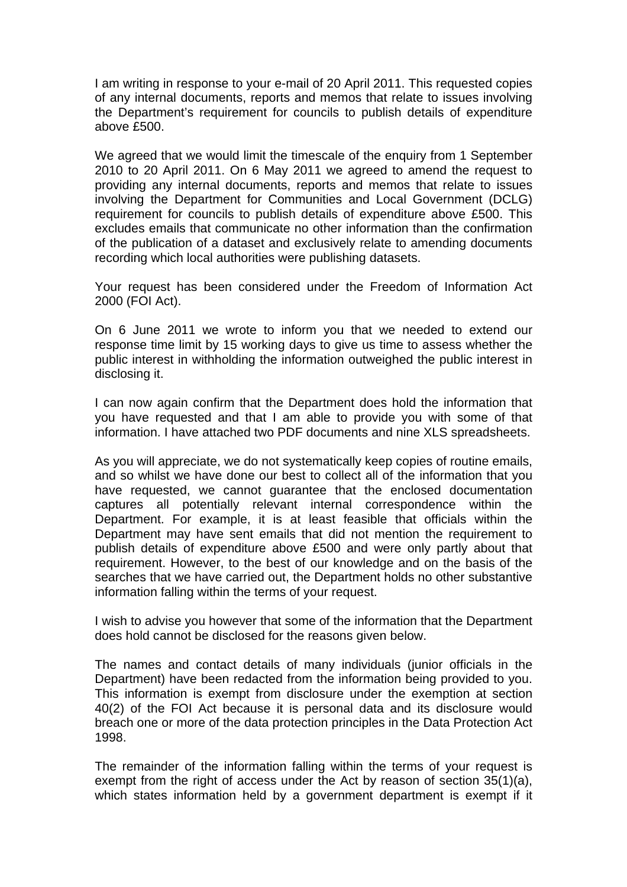I am writing in response to your e-mail of 20 April 2011. This requested copies of any internal documents, reports and memos that relate to issues involving the Department's requirement for councils to publish details of expenditure above £500.

We agreed that we would limit the timescale of the enquiry from 1 September 2010 to 20 April 2011. On 6 May 2011 we agreed to amend the request to providing any internal documents, reports and memos that relate to issues involving the Department for Communities and Local Government (DCLG) requirement for councils to publish details of expenditure above £500. This excludes emails that communicate no other information than the confirmation of the publication of a dataset and exclusively relate to amending documents recording which local authorities were publishing datasets.

Your request has been considered under the Freedom of Information Act 2000 (FOI Act).

On 6 June 2011 we wrote to inform you that we needed to extend our response time limit by 15 working days to give us time to assess whether the public interest in withholding the information outweighed the public interest in disclosing it.

I can now again confirm that the Department does hold the information that you have requested and that I am able to provide you with some of that information. I have attached two PDF documents and nine XLS spreadsheets.

As you will appreciate, we do not systematically keep copies of routine emails, and so whilst we have done our best to collect all of the information that you have requested, we cannot guarantee that the enclosed documentation captures all potentially relevant internal correspondence within the Department. For example, it is at least feasible that officials within the Department may have sent emails that did not mention the requirement to publish details of expenditure above £500 and were only partly about that requirement. However, to the best of our knowledge and on the basis of the searches that we have carried out, the Department holds no other substantive information falling within the terms of your request.

I wish to advise you however that some of the information that the Department does hold cannot be disclosed for the reasons given below.

The names and contact details of many individuals (junior officials in the Department) have been redacted from the information being provided to you. This information is exempt from disclosure under the exemption at section 40(2) of the FOI Act because it is personal data and its disclosure would breach one or more of the data protection principles in the Data Protection Act 1998.

The remainder of the information falling within the terms of your request is exempt from the right of access under the Act by reason of section 35(1)(a), which states information held by a government department is exempt if it